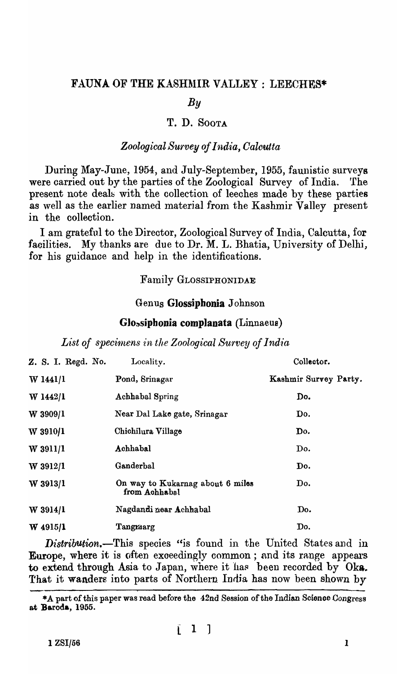## FAUNA OF THE KASHMIR VALLEY: LEECHES\*

# *By*

## T. D. SOOTA

## *Zoological Survey of India, Calcutta*

During May-June, 1954, and July-September, 1955, faunistic surveys were carried out by the parties of the Zoological Survey of India. 'fhe present note deals with the collection of leeches made by these parties as well as the earlier named material from the Kashmir Valley present in the collection.

I am grateful to the Direotor, Zoological Survey of India, Calcutta, for facilities. My thanks are due to Dr. M. L. Bhatia, University of Delhi, for his guidanoe and help in the identifications.

# Family GLOSSIPHONIDAE

## Genus Glossipbonia Johnson

#### Glossiphonia complanata (Linnaeus)

List of specimens in the Zoological Survey of India

| Z. S. I. Regd. No. | Locality.                                         | Collector.            |
|--------------------|---------------------------------------------------|-----------------------|
| W 1441/1           | Pond, Srinagar                                    | Kashmir Survey Party. |
| $W$ 1442/1         | Achhabal Spring                                   | Do.                   |
| W 3909/1           | Near Dal Lake gate, Srinagar                      | Do.                   |
| $W$ 3910/1         | Chichilura Village                                | Do.                   |
| W 3911/1           | Achhabal                                          | Do.                   |
| W 3912/1           | Ganderbal                                         | Do.                   |
| W 3913/1           | On way to Kukarnag about 6 miles<br>from Achhabal | Do.                   |
| $W$ 3914/1         | Nagdandi zear Achhabal                            | Do.                   |
| W 4915/1           | Tangraarg                                         | Do.                   |

*Distribution.-This* species "is found in the United States and in Europe, where it is often exceedingly common; and its range appears to extend through Asia to Japan, where it has been recorded by Oka. That it wanders into parts of Northern India has now been shown by

\*A part of this paper was read before the 42nd Session of the Indian Science Congress at Baroda, 1955.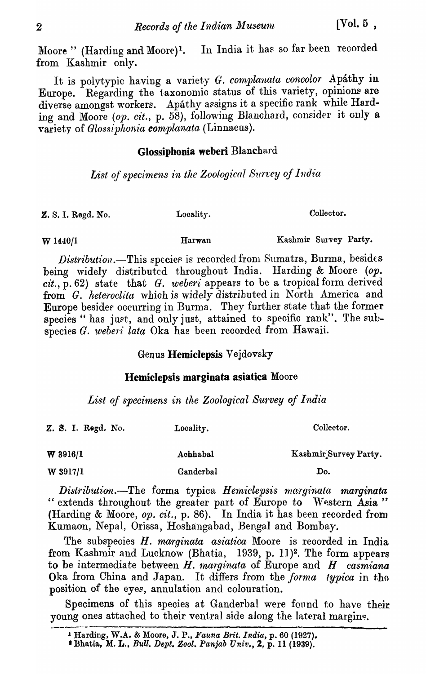Moore" (Harding and Moore)<sup>1</sup>. In India it has so far been recorded from Kashmir only.

It is polytypic having a variety G. complanata concolor Apáthy in Europe. Regarding the taxonomic status of this variety, opinions are diverse amongst workers. Apathy assigns it a specific rank while Harding and Moore (op. cit., p. 58), following Blanchard, consider it only a variety of Glossiphonia complanata (Linnaeus).

# Glossiphonia weberi Blanchard

List of specimens in the Zoological Survey of India

Z. S. I. Regd. No.

Locality.

Harwan

Collector.

Kashmir Survey Party.

W 1440/1

*Distribution*.—This species is recorded from Sumatra, Burma, besides being widely distributed throughout India. Harding & Moore (op.  $cit., p. 62)$  state that G. weberi appears to be a tropical form derived from G. heteroclita which is widely distributed in North America and Europe besides occurring in Burma. They further state that the former species " has just, and only just, attained to specific rank". The subspecies G. weberi lata Oka has been recorded from Hawaii.

# Genus Hemiclepsis Vejdovsky

# Hemiclepsis marginata asiatica Moore

List of specimens in the Zoological Survey of India

| Z. S. I. Rogd. No. | Locality. | Collector.            |
|--------------------|-----------|-----------------------|
| $W$ 3916/1         | Achhabal  | Kashmir Survey Party. |
| W 3917/1           | Ganderbal | Do.                   |

Distribution.-The forma typica Hemiclepsis marginata marginata " extends throughout the greater part of Europe to Western Asia" (Harding & Moore, op. cit., p. 86). In India it has been recorded from Kumaon, Nepal, Orissa, Hoshangabad, Bengal and Bombay.

The subspecies H. marginata asiatica Moore is recorded in India from Kashmir and Lucknow (Bhatia, 1939, p. 11)<sup>2</sup>. The form appears to be intermediate between  $H$ . marginata of Europe and  $H$  casmiana Oka from China and Japan. It differs from the forma typica in the position of the eyes, annulation and colouration.

Specimens of this species at Ganderbal were found to have their young ones attached to their ventral side along the lateral margins.

<sup>&</sup>lt;sup>1</sup> Harding, W.A. & Moore, J. P., Fauna Brit. India, p. 60 (1927).

<sup>&</sup>lt;sup>1</sup> Bhatia, M. L., Bull. Dept. Zool. Panjab Univ., 2, p. 11 (1939).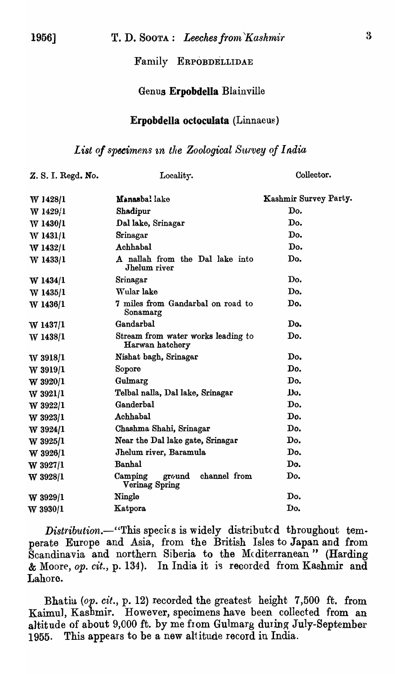## Family ERPOBDELLIDAE

## Genus Erpobdella Blainville

#### Erpobdella octoculata (Linnaeu~)

#### List of specimens in the Zoological Survey of India

| Z. S. I. Regd. No. | Locality.                                                    | Collector.            |  |  |
|--------------------|--------------------------------------------------------------|-----------------------|--|--|
| W 1428/1           | Manasbal lake                                                | Kashmir Survey Party. |  |  |
| $W$ 1429/1         | Shadipur                                                     | Do.                   |  |  |
| W 1430/1           | Dal lake, Srinagar                                           | Do.                   |  |  |
| W 1431/1           | Srinagar                                                     | Do.                   |  |  |
| W 1432/1           | Achhabal                                                     | Do.                   |  |  |
| W 1433/1           | A nallah from the Dal lake into<br>Jhelum river              | Do.                   |  |  |
| $W$ 1434/1         | Srinagar                                                     | Do.                   |  |  |
| W 1435/1           | Wular lake                                                   | Do.                   |  |  |
| W 1436/1           | 7 miles from Gandarbal on road to<br>Do.<br>Sonamarg         |                       |  |  |
| $W$ 1437/1         | Gandarbal                                                    | Do.                   |  |  |
| W 1438/1           | Do.<br>Stream from water works leading to<br>Harwan hatchery |                       |  |  |
| W 3918/1           | Nishat bagh, Srinagar                                        | Do.                   |  |  |
| $W$ 3919/1         | Sopore                                                       | Do.                   |  |  |
| $W$ 3920/1         | Gulmarg                                                      | Do.                   |  |  |
| W 3921/1           | Telbal nalla, Dal lake, Srinagar                             | Dυ.                   |  |  |
| $W$ 3922/1         | Ganderbal                                                    | Do.                   |  |  |
| $W$ 3923/1         | Achhabal                                                     | Do.                   |  |  |
| W 3924/1           | Chashma Shahi, Srinagar                                      | Do.                   |  |  |
| W 3925/1           | Near the Dal lake gate, Srinagar                             | Do.                   |  |  |
| $W$ 3926/1         | Jhelum river, Baramula                                       | Do.                   |  |  |
| $W$ 3927/1         | Banhal                                                       | Do.                   |  |  |
| $W$ 3928/1         | channel from<br>Camping<br>ground<br>Verinag Spring          | Do.                   |  |  |
| $W$ 3929/1         | Ningle                                                       | Do.                   |  |  |
| W 3930/1           | Katpora                                                      | Do.                   |  |  |

Distribution.-"This species is widely distributed throughout temperate Europe and Asia, from the British Isles to Japan and from Scandinavia and northern Siberia to the Mediterranean" (Harding & Moore, op. cit., p. 134). In India it is recorded from Kashmir and Lahore.

Bhatiu *(op. cit., p.* 12) recorded the greatest height 7,500 ft. from Kaimu1, Kashmir. However, specimens have been. collected from an altitude of about 9,000 ft. by me from Gulmarg during July-September 1955. This appears to be a new altitude record in India.